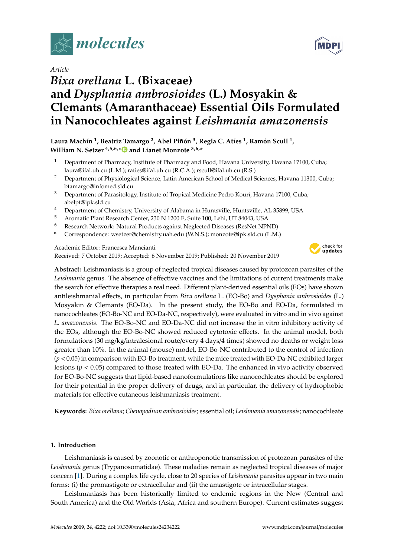

# *Article*

# *Bixa orellana* **L. (Bixaceae) and** *Dysphania ambrosioides* **(L.) Mosyakin & Clemants (Amaranthaceae) Essential Oils Formulated in Nanocochleates against** *Leishmania amazonensis*

## **Laura Machín 1 , Beatriz Tamargo <sup>2</sup> , Abel Piñón 3 , Regla C. Atíes <sup>1</sup> , Ramón Scull <sup>1</sup> , William N. Setzer 4,5,6,[\\*](https://orcid.org/0000-0002-3639-0528) and Lianet Monzote 3,6,\***

- <sup>1</sup> Department of Pharmacy, Institute of Pharmacy and Food, Havana University, Havana 17100, Cuba; laura@ifal.uh.cu (L.M.); raties@ifal.uh.cu (R.C.A.); rscull@ifal.uh.cu (R.S.)
- <sup>2</sup> Department of Physiological Science, Latin American School of Medical Sciences, Havana 11300, Cuba; btamargo@infomed.sld.cu
- <sup>3</sup> Department of Parasitology, Institute of Tropical Medicine Pedro Kourí, Havana 17100, Cuba; abelpt@ipk.sld.cu
- <sup>4</sup> Department of Chemistry, University of Alabama in Huntsville, Huntsville, AL 35899, USA
- <sup>5</sup> Aromatic Plant Research Center, 230 N 1200 E, Suite 100, Lehi, UT 84043, USA
- <sup>6</sup> Research Network: Natural Products against Neglected Diseases (ResNet NPND)
- **\*** Correspondence: wsetzer@chemistry.uah.edu (W.N.S.); monzote@ipk.sld.cu (L.M.)

## Academic Editor: Francesca Mancianti

Received: 7 October 2019; Accepted: 6 November 2019; Published: 20 November 2019



**Abstract:** Leishmaniasis is a group of neglected tropical diseases caused by protozoan parasites of the *Leishmania* genus. The absence of effective vaccines and the limitations of current treatments make the search for effective therapies a real need. Different plant-derived essential oils (EOs) have shown antileishmanial effects, in particular from *Bixa orellana* L. (EO-Bo) and *Dysphania ambrosioides* (L.) Mosyakin & Clemants (EO-Da). In the present study, the EO-Bo and EO-Da, formulated in nanocochleates (EO-Bo-NC and EO-Da-NC, respectively), were evaluated in vitro and in vivo against *L. amazonensis*. The EO-Bo-NC and EO-Da-NC did not increase the in vitro inhibitory activity of the EOs, although the EO-Bo-NC showed reduced cytotoxic effects. In the animal model, both formulations (30 mg/kg/intralesional route/every 4 days/4 times) showed no deaths or weight loss greater than 10%. In the animal (mouse) model, EO-Bo-NC contributed to the control of infection (*p* < 0.05) in comparison with EO-Bo treatment, while the mice treated with EO-Da-NC exhibited larger lesions (*p* < 0.05) compared to those treated with EO-Da. The enhanced in vivo activity observed for EO-Bo-NC suggests that lipid-based nanoformulations like nanocochleates should be explored for their potential in the proper delivery of drugs, and in particular, the delivery of hydrophobic materials for effective cutaneous leishmaniasis treatment.

**Keywords:** *Bixa orellana*; *Chenopodium ambrosioides*; essential oil; *Leishmania amazonensis*; nanocochleate

## **1. Introduction**

Leishmaniasis is caused by zoonotic or anthroponotic transmission of protozoan parasites of the *Leishmania* genus (Trypanosomatidae). These maladies remain as neglected tropical diseases of major concern [\[1\]](#page-7-0). During a complex life cycle, close to 20 species of *Leishmania* parasites appear in two main forms: (i) the promastigote or extracellular and (ii) the amastigote or intracellular stages.

Leishmaniasis has been historically limited to endemic regions in the New (Central and South America) and the Old Worlds (Asia, Africa and southern Europe). Current estimates suggest

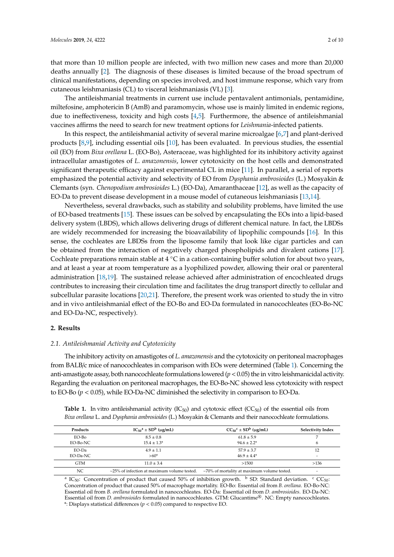that more than 10 million people are infected, with two million new cases and more than 20,000 deaths annually [\[2\]](#page-7-1). The diagnosis of these diseases is limited because of the broad spectrum of clinical manifestations, depending on species involved, and host immune response, which vary from cutaneous leishmaniasis (CL) to visceral leishmaniasis (VL) [\[3\]](#page-7-2).

The antileishmanial treatments in current use include pentavalent antimonials, pentamidine, miltefosine, amphotericin B (AmB) and paramomycin, whose use is mainly limited in endemic regions, due to ineffectiveness, toxicity and high costs  $[4,5]$  $[4,5]$ . Furthermore, the absence of antileishmanial vaccines affirms the need to search for new treatment options for *Leishmania*-infected patients.

In this respect, the antileishmanial activity of several marine microalgae [\[6](#page-7-5)[,7\]](#page-7-6) and plant-derived products [\[8](#page-7-7)[,9\]](#page-7-8), including essential oils [\[10\]](#page-7-9), has been evaluated. In previous studies, the essential oil (EO) from *Bixa orellana* L. (EO-Bo), Asteraceae, was highlighted for its inhibitory activity against intracellular amastigotes of *L. amazonensis*, lower cytotoxicity on the host cells and demonstrated significant therapeutic efficacy against experimental CL in mice [\[11\]](#page-7-10). In parallel, a serial of reports emphasized the potential activity and selectivity of EO from *Dysphania ambrosioides* (L.) Mosyakin & Clemants (syn. *Chenopodium ambrosioides* L.) (EO-Da), Amaranthaceae [\[12\]](#page-7-11), as well as the capacity of EO-Da to prevent disease development in a mouse model of cutaneous leishmaniasis [\[13](#page-7-12)[,14\]](#page-7-13).

Nevertheless, several drawbacks, such as stability and solubility problems, have limited the use of EO-based treatments [\[15\]](#page-7-14). These issues can be solved by encapsulating the EOs into a lipid-based delivery system (LBDS), which allows delivering drugs of different chemical nature. In fact, the LBDSs are widely recommended for increasing the bioavailability of lipophilic compounds [\[16\]](#page-7-15). In this sense, the cochleates are LBDSs from the liposome family that look like cigar particles and can be obtained from the interaction of negatively charged phospholipids and divalent cations [\[17\]](#page-8-0). Cochleate preparations remain stable at  $4^{\circ}$ C in a cation-containing buffer solution for about two years, and at least a year at room temperature as a lyophilized powder, allowing their oral or parenteral administration [\[18](#page-8-1)[,19\]](#page-8-2). The sustained release achieved after administration of encochleated drugs contributes to increasing their circulation time and facilitates the drug transport directly to cellular and subcellular parasite locations [\[20,](#page-8-3)[21\]](#page-8-4). Therefore, the present work was oriented to study the in vitro and in vivo antileishmanial effect of the EO-Bo and EO-Da formulated in nanocochleates (EO-Bo-NC and EO-Da-NC, respectively).

#### **2. Results**

#### *2.1. Antileishmanial Activity and Cytotoxicity*

The inhibitory activity on amastigotes of *L. amazonensis* and the cytotoxicity on peritoneal macrophages from BALB/c mice of nanocochleates in comparison with EOs were determined (Table [1\)](#page-1-0). Concerning the anti-amastigote assay, both nanocochleate formulations lowered  $(p < 0.05)$  the in vitro leishmanicidal activity. Regarding the evaluation on peritoneal macrophages, the EO-Bo-NC showed less cytotoxicity with respect to EO-Bo (*p* < 0.05), while EO-Da-NC diminished the selectivity in comparison to EO-Da.

<span id="page-1-0"></span>**Table 1.** In vitro antileishmanial activity  $(IC_{50})$  and cytotoxic effect  $(CC_{50})$  of the essential oils from *Bixa orellana* L. and *Dysphania ambrosioides* (L.) Mosyakin & Clemants and their nanocochleate formulations.

| Products          | $IC_{50}^a \pm SD^b$ (µg/mL)                      | $CC_{50}^{\circ} \pm SD^{\circ}$ (µg/mL)             | <b>Selectivity Index</b>       |
|-------------------|---------------------------------------------------|------------------------------------------------------|--------------------------------|
| EO-Bo<br>EO-Bo-NC | $8.5 \pm 0.8$<br>$15.4 + 1.3*$                    | $61.8 \pm 5.9$<br>$94.6 + 2.2^*$                     | 6                              |
| EO-Da<br>EO-Da-NC | $4.9 + 1.1$<br>$>60*$                             | $57.9 \pm 3.7$<br>$46.9 + 4.4*$                      | 12<br>$\overline{\phantom{0}}$ |
| <b>GTM</b>        | $11.0 \pm 3.4$                                    | >1500                                                | >136                           |
| NC                | $\sim$ 25% of infection at maximum volume tested. | $\approx$ 70% of mortality at maximum volume tested. |                                |

<sup>a</sup> IC<sub>50</sub>: Concentration of product that caused 50% of inhibition growth. <sup>b</sup> SD: Standard deviation. <sup>c</sup> CC<sub>50</sub>: Concentration of product that caused 50% of macrophage mortality. EO-Bo: Essential oil from *B. orellana*. EO-Bo-NC: Essential oil from *B. orellana* formulated in nanocochleates. EO-Da: Essential oil from *D. ambrosioides*. EO-Da-NC: Essential oil from *D. ambrosioides* formulated in nanocochleates. GTM: Glucantime®. NC: Empty nanocochleates. \*: Displays statistical differences (*p* < 0.05) compared to respective EO.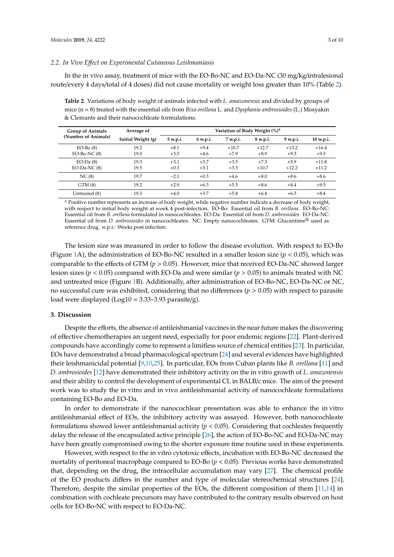#### *2.2. In Vivo E*ff*ect on Experimental Cutaneous Leishmaniasis*

In the in vivo assay, treatment of mice with the EO-Bo-NC and EO-Da-NC (30 mg/kg/intralesional route/every 4 days/total of 4 doses) did not cause mortality or weight loss greater than 10% (Table [2\)](#page-2-0).

<span id="page-2-0"></span>**Table 2.** Variations of body weight of animals infected with *L. amazonensis* and divided by groups of mice (n = 8) treated with the essential oils from *Bixa orellana* L. and *Dysphania ambrosioides* (L.) Mosyakin & Clemants and their nanocochleate formulations.

| <b>Group of Animals</b>             | Average of         | Variation of Body Weight (%) <sup>a</sup> |                  |                   |                   |                   |                    |
|-------------------------------------|--------------------|-------------------------------------------|------------------|-------------------|-------------------|-------------------|--------------------|
| (Number of Animals)                 | Initial Weight (g) | 5 w.p.i.                                  | 6 w.p.i.         | 7 w.p.i.          | 8 w.p.i.          | 9 w.p.i.          | 10 w.p.i.          |
| $EO-Bo(8)$<br>$EO-Bo-NC(8)$         | 19.2<br>19.0       | $+8.1$<br>$+3.5$                          | $+9.4$<br>$+4.6$ | $+10.7$<br>$+7.9$ | $+12.7$<br>$+8.9$ | $+13.2$<br>$+9.3$ | $+16.4$<br>$+9.5$  |
| $EO$ -Da $(8)$<br>$EO$ -Da-NC $(8)$ | 19.3<br>19.5       | $+3.1$<br>$+0.3$                          | $+3.7$<br>$+3.1$ | $+3.5$<br>$+3.3$  | $+7.3$<br>$+10.7$ | $+5.9$<br>$+12.2$ | $+11.8$<br>$+11.2$ |
| NC(8)                               | 19.7               | $-2.1$                                    | $+0.3$           | $+4.6$            | $+8.0$            | $+8.6$            | $+8.6$             |
| GTM(8)                              | 19.2               | $+2.9$                                    | $+6.3$           | $+5.5$            | $+8.6$            | $+8.4$            | $+9.5$             |
| Untreated (8)                       | 19.3               | $+4.0$                                    | $+3.7$           | $+5.8$            | $+6.4$            | $+6.3$            | $+8.4$             |

<sup>a</sup> Positive number represents an increase of body weight, while negative number indicats a decrease of body weight, with respect to initial body weight at week 4 post-infection. EO-Bo: Essential oil from *B. orellana*. EO-Bo-NC: Essential oil from *B. orellana* formulated in nanocochleates. EO-Da: Essential oil from *D. ambrosioides*. EO-Da-NC: Essential oil from *D. ambrosioides* in nanocochleates. NC: Empty nanocochleates. GTM: Glucantime® used as reference drug. w.p.i.: Weeks post infection.

The lesion size was measured in order to follow the disease evolution. With respect to EO-Bo (Figure [1A](#page-3-0)), the administration of EO-Bo-NC resulted in a smaller lesion size ( $p < 0.05$ ), which was comparable to the effects of GTM (*p* > 0.05). However, mice that received EO-Da-NC showed larger lesion sizes (*p* < 0.05) compared with EO-Da and were similar (*p* > 0.05) to animals treated with NC and untreated mice (Figure [1B](#page-3-0)). Additionally, after administration of EO-Bo-NC, EO-Da-NC or NC, no successful cure was exhibited, considering that no differences (*p* > 0.05) with respect to parasite load were displayed ( $Log10 = 3.33-3.93$  parasite/g).

### **3. Discussion**

Despite the efforts, the absence of antileishmanial vaccines in the near future makes the discovering of effective chemotherapies an urgent need, especially for poor endemic regions [\[22\]](#page-8-5). Plant-derived compounds have accordingly come to represent a limitless source of chemical entities [\[23\]](#page-8-6). In particular, EOs have demonstrated a broad pharmacological spectrum [\[24\]](#page-8-7) and several evidences have highlighted their leishmanicidal potential [\[9,](#page-7-8)[10,](#page-7-9)[25\]](#page-8-8). In particular, EOs from Cuban plants like *B. orellana* [\[11\]](#page-7-10) and *D. ambrosioides* [\[12\]](#page-7-11) have demonstrated their inhibitory activity on the in vitro growth of *L. amazonensis* and their ability to control the development of experimental CL in BALB/c mice. The aim of the present work was to study the in vitro and in vivo antileishmanial activity of nanocochleate formulations containing EO-Bo and EO-Da.

In order to demonstrate if the nanocochlear presentation was able to enhance the in vitro antileishmanial effect of EOs, the inhibitory activity was assayed. However, both nanocochleate formulations showed lower antileishmanial activity (*p* < 0.05). Considering that cochleates frequently delay the release of the encapsulated active principle [\[26\]](#page-8-9), the action of EO-Bo-NC and EO-Da-NC may have been greatly compromised owing to the shorter exposure time routine used in these experiments.

However, with respect to the in vitro cytotoxic effects, incubation with EO-Bo-NC decreased the mortality of peritoneal macrophage compared to EO-Bo  $(p < 0.05)$ . Previous works have demonstrated that, depending on the drug, the intracellular accumulation may vary [\[27\]](#page-8-10). The chemical profile of the EO products differs in the number and type of molecular stereochemical structures [\[24\]](#page-8-7). Therefore, despite the similar properties of the EOs, the different composition of them [\[11](#page-7-10)[,14\]](#page-7-13) in combination with cochleate precursors may have contributed to the contrary results observed on host cells for EO-Bo-NC with respect to EO-Da-NC.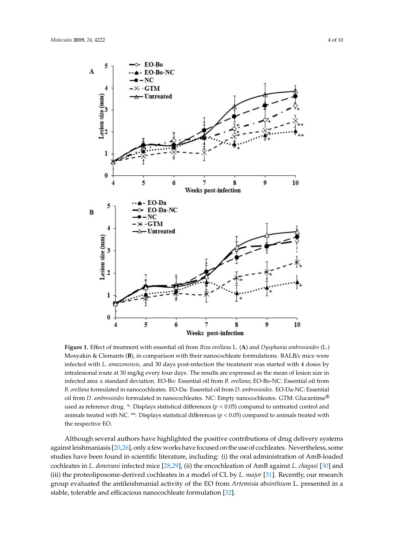<span id="page-3-0"></span>

Figure 1. Effect of treatment with essential oil from Bixa orellana L. (A) and Dysphania ambrosioides (L.) Mosyakin & Clemants (**B**), in comparison with their nanocochleate formulations. BALB/c mice were Mosyakin & Clemants (**B**), in comparison with their nanocochleate formulations. BALB/c mice were infected with *L. amazonensis,* and 30 days post-infection the treatment was started with 4 doses by infected with *L. amazonensis,* and 30 days post-infection the treatment was started with 4 doses by intralesional route at 30 mg/kg every four days. The results are expressed as the mean of lesion size in infected area ± standard deviation. EO-Bo: Essential oil from B. orellana; EO-Bo-NC: Essential oil from Essential oil from *D. ambrosioides* formulated in nanocochleates. NC: Empty nanocochleates. GTM: *B. orellana* formulated in nanocochleates. EO-Da: Essential oil from *D. ambrosioides*. EO-Da-NC: Essential oil from *D. ambrosioides* formulated in nanocochleates. NC: Empty nanocochleates. GTM: Glucantime<sup>®</sup> used as reference drug.  $*$ : Displays statistical differences ( $p < 0.05$ ) compared to untreated control and animals treated with NC. \*\*: Displays statistical differences ( $p < 0.05$ ) compared to animals treated with **3. Discussion**  the respective EO.

Although several authors have highlighted the positive contributions of drug delivery systems against leishmaniasis [20,26], only a few works have focused on the use of cochleates. Nevertheless, some studies have been found in scientific literature, including: (i) the oral administration of AmB-loaded cochleates in *L. donovani* infected mice [\[28,](#page-8-11)[29\]](#page-8-12), (ii) the encochleation of AmB against *L. chagasi* [\[30\]](#page-8-13) and (iii) the proteoliposome-derived cochleates in a model of CL by *L. major* [\[31\]](#page-8-14). Recently, our research group evaluated the antileishmanial activity of the EO from *Artemisia absinthium* L. presented in a stable, tolerable and efficacious nanocochleate formulation [\[32\]](#page-8-15).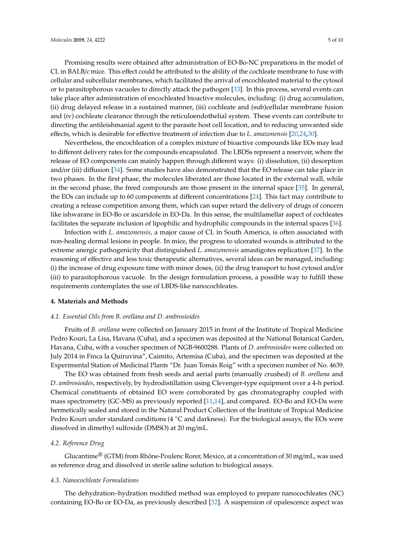Promising results were obtained after administration of EO-Bo-NC preparations in the model of CL in BALB/c mice. This effect could be attributed to the ability of the cochleate membrane to fuse with cellular and subcellular membranes, which facilitated the arrival of encochleated material to the cytosol or to parasitophorous vacuoles to directly attack the pathogen [\[33\]](#page-8-16). In this process, several events can take place after administration of encochleated bioactive molecules, including: (i) drug accumulation, (ii) drug delayed release in a sustained manner, (iii) cochleate and (sub)cellular membrane fusion and (iv) cochleate clearance through the reticuloendothelial system. These events can contribute to directing the antileishmanial agent to the parasite host cell location, and to reducing unwanted side effects, which is desirable for effective treatment of infection due to *L. amazonensis* [\[20](#page-8-3)[,24](#page-8-7)[,30\]](#page-8-13).

Nevertheless, the encochleation of a complex mixture of bioactive compounds like EOs may lead to different delivery rates for the compounds encapsulated. The LBDSs represent a reservoir, where the release of EO components can mainly happen through different ways: (i) dissolution, (ii) desorption and/or (iii) diffusion [\[34\]](#page-8-17). Some studies have also demonstrated that the EO release can take place in two phases. In the first phase, the molecules liberated are those located in the external wall, while in the second phase, the freed compounds are those present in the internal space [\[35\]](#page-8-18). In general, the EOs can include up to 60 components at different concentrations [\[24\]](#page-8-7). This fact may contribute to creating a release competition among them, which can super retard the delivery of drugs of concern like ishwarane in EO-Bo or ascaridole in EO-Da. In this sense, the multilamellar aspect of cochleates facilitates the separate inclusion of lipophilic and hydrophilic compounds in the internal spaces [\[36\]](#page-8-19).

Infection with *L. amazonensis*, a major cause of CL in South America, is often associated with non-healing dermal lesions in people. In mice, the progress to ulcerated wounds is attributed to the extreme anergic pathogenicity that distinguished *L. amazonensis* amastigotes replication [\[37\]](#page-8-20). In the reasoning of effective and less toxic therapeutic alternatives, several ideas can be managed, including: (i) the increase of drug exposure time with minor doses, (ii) the drug transport to host cytosol and/or (iii) to parasitophorous vacuole. In the design formulation process, a possible way to fulfill these requirements contemplates the use of LBDS-like nanocochleates.

#### **4. Materials and Methods**

#### *4.1. Essential Oils from B. orellana and D. ambrosioides*

Fruits of *B. orellana* were collected on January 2015 in front of the Institute of Tropical Medicine Pedro Kouri, La Lisa, Havana (Cuba), and a specimen was deposited at the National Botanical Garden, Havana, Cuba, with a voucher specimen of NGB-9600288. Plants of *D. ambrosioides* were collected on July 2014 in Finca la Quiruvina", Caimito, Artemisa (Cuba), and the specimen was deposited at the Experimental Station of Medicinal Plants "Dr. Juan Tomás Roig" with a specimen number of No. 4639.

The EO was obtained from fresh seeds and aerial parts (manually crushed) of *B. orellana* and *D. ambrosioides*, respectively, by hydrodistillation using Clevenger-type equipment over a 4-h period. Chemical constituents of obtained EO were corroborated by gas chromatography coupled with mass spectrometry (GC-MS) as previously reported [\[11,](#page-7-10)[14\]](#page-7-13), and compared. EO-Bo and EO-Da were hermetically sealed and stored in the Natural Product Collection of the Institute of Tropical Medicine Pedro Kouri under standard conditions ( $4 °C$  and darkness). For the biological assays, the EOs were dissolved in dimethyl sulfoxide (DMSO) at 20 mg/mL.

#### *4.2. Reference Drug*

Glucantime<sup>®</sup> (GTM) from Rhône-Poulenc Rorer, Mexico, at a concentration of 30 mg/mL, was used as reference drug and dissolved in sterile saline solution to biological assays.

#### *4.3. Nanocochleate Formulations*

The dehydration–hydration modified method was employed to prepare nanocochleates (NC) containing EO-Bo or EO-Da, as previously described [\[32\]](#page-8-15). A suspension of opalescence aspect was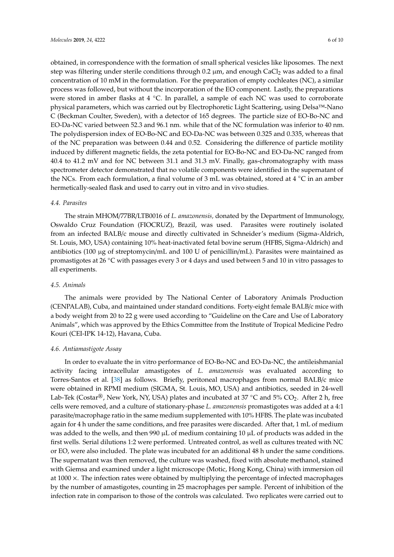obtained, in correspondence with the formation of small spherical vesicles like liposomes. The next step was filtering under sterile conditions through  $0.2 \mu m$ , and enough CaCl<sub>2</sub> was added to a final concentration of 10 mM in the formulation. For the preparation of empty cochleates (NC), a similar process was followed, but without the incorporation of the EO component. Lastly, the preparations were stored in amber flasks at 4 ℃. In parallel, a sample of each NC was used to corroborate physical parameters, which was carried out by Electrophoretic Light Scattering, using Delsa™-Nano C (Beckman Coulter, Sweden), with a detector of 165 degrees. The particle size of EO-Bo-NC and EO-Da-NC varied between 52.3 and 96.1 nm. while that of the NC formulation was inferior to 40 nm. The polydispersion index of EO-Bo-NC and EO-Da-NC was between 0.325 and 0.335, whereas that of the NC preparation was between 0.44 and 0.52. Considering the difference of particle motility induced by different magnetic fields, the zeta potential for EO-Bo-NC and EO-Da-NC ranged from 40.4 to 41.2 mV and for NC between 31.1 and 31.3 mV. Finally, gas-chromatography with mass spectrometer detector demonstrated that no volatile components were identified in the supernatant of the NCs. From each formulation, a final volume of 3 mL was obtained, stored at 4  $°C$  in an amber hermetically-sealed flask and used to carry out in vitro and in vivo studies.

#### *4.4. Parasites*

The strain MHOM/77BR/LTB0016 of *L. amazonensis,* donated by the Department of Immunology, Oswaldo Cruz Foundation (FIOCRUZ), Brazil, was used. Parasites were routinely isolated from an infected BALB/c mouse and directly cultivated in Schneider's medium (Sigma-Aldrich, St. Louis, MO, USA) containing 10% heat-inactivated fetal bovine serum (HFBS, Sigma-Aldrich) and antibiotics (100  $\mu$ g of streptomycin/mL and 100 U of penicillin/mL). Parasites were maintained as promastigotes at 26 ◦C with passages every 3 or 4 days and used between 5 and 10 in vitro passages to all experiments.

#### *4.5. Animals*

The animals were provided by The National Center of Laboratory Animals Production (CENPALAB), Cuba, and maintained under standard conditions. Forty-eight female BALB/c mice with a body weight from 20 to 22 g were used according to "Guideline on the Care and Use of Laboratory Animals", which was approved by the Ethics Committee from the Institute of Tropical Medicine Pedro Kouri (CEI-IPK 14-12), Havana, Cuba.

#### *4.6. Antiamastigote Assay*

In order to evaluate the in vitro performance of EO-Bo-NC and EO-Da-NC, the antileishmanial activity facing intracellular amastigotes of *L. amazonensis* was evaluated according to Torres-Santos et al. [\[38\]](#page-8-21) as follows. Briefly, peritoneal macrophages from normal BALB/c mice were obtained in RPMI medium (SIGMA, St. Louis, MO, USA) and antibiotics, seeded in 24-well Lab-Tek (Costar<sup>®</sup>, New York, NY, USA) plates and incubated at 37 °C and 5% CO<sub>2</sub>. After 2 h, free cells were removed, and a culture of stationary-phase *L. amazonensis* promastigotes was added at a 4:1 parasite/macrophage ratio in the same medium supplemented with 10% HFBS. The plate was incubated again for 4 h under the same conditions, and free parasites were discarded. After that, 1 mL of medium was added to the wells, and then 990 µL of medium containing 10 µL of products was added in the first wells. Serial dilutions 1:2 were performed. Untreated control, as well as cultures treated with NC or EO, were also included. The plate was incubated for an additional 48 h under the same conditions. The supernatant was then removed, the culture was washed, fixed with absolute methanol, stained with Giemsa and examined under a light microscope (Motic, Hong Kong, China) with immersion oil at  $1000 \times$ . The infection rates were obtained by multiplying the percentage of infected macrophages by the number of amastigotes, counting in 25 macrophages per sample. Percent of inhibition of the infection rate in comparison to those of the controls was calculated. Two replicates were carried out to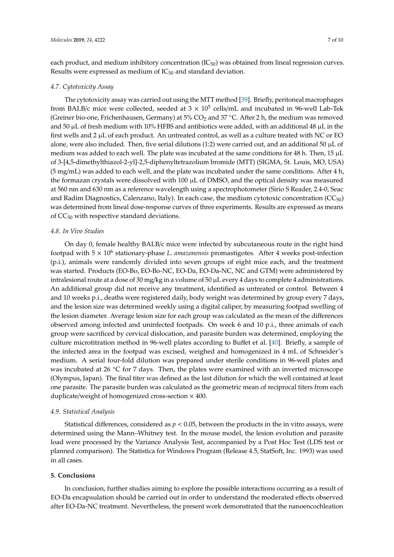each product, and medium inhibitory concentration  $(IC_{50})$  was obtained from lineal regression curves. Results were expressed as medium of  $IC_{50}$  and standard deviation.

#### *4.7. Cytotoxicity Assay*

The cytotoxicity assay was carried out using the MTT method [\[39\]](#page-9-0). Briefly, peritoneal macrophages from BALB/c mice were collected, seeded at  $3 \times 10^5$  cells/mL and incubated in 96-well Lab-Tek (Greiner bio-one, Frichenhausen, Germany) at  $5\%$  CO<sub>2</sub> and 37 °C. After 2 h, the medium was removed and 50  $\mu$ L of fresh medium with 10% HFBS and antibiotics were added, with an additional 48  $\mu$ L in the first wells and 2  $\mu$ L of each product. An untreated control, as well as a culture treated with NC or EO alone, were also included. Then, five serial dilutions  $(1:2)$  were carried out, and an additional 50  $\mu$ L of medium was added to each well. The plate was incubated at the same conditions for 48 h. Then, 15  $\mu$ L of 3-[4,5-dimethylthiazol-2-yl]-2,5-diphenyltetrazolium bromide (MTT) (SIGMA, St. Louis, MO, USA) (5 mg/mL) was added to each well, and the plate was incubated under the same conditions. After 4 h, the formazan crystals were dissolved with 100 µL of DMSO, and the optical density was measured at 560 nm and 630 nm as a reference wavelength using a spectrophotometer (Sirio S Reader, 2.4-0, Seac and Radim Diagnostics, Calenzano, Italy). In each case, the medium cytotoxic concentration  $(CC_{50})$ was determined from lineal dose-response curves of three experiments. Results are expressed as means of  $CC_{50}$  with respective standard deviations.

#### *4.8. In Vivo Studies*

On day 0, female healthy BALB/c mice were infected by subcutaneous route in the right hind footpad with 5 x 10<sup>6</sup> stationary-phase *L. amazonensis* promastigotes. After 4 weeks post-infection (p.i.), animals were randomly divided into seven groups of eight mice each, and the treatment was started. Products (EO-Bo, EO-Bo-NC, EO-Da, EO-Da-NC, NC and GTM) were administered by intralesional route at a dose of 30 mg/kg in a volume of 50 µL every 4 days to complete 4 administrations. An additional group did not receive any treatment, identified as untreated or control. Between 4 and 10 weeks p.i., deaths were registered daily, body weight was determined by group every 7 days, and the lesion size was determined weekly using a digital caliper, by measuring footpad swelling of the lesion diameter. Average lesion size for each group was calculated as the mean of the differences observed among infected and uninfected footpads. On week 6 and 10 p.i., three animals of each group were sacrificed by cervical dislocation, and parasite burden was determined, employing the culture microtitration method in 96-well plates according to Buffet et al. [\[40\]](#page-9-1). Briefly, a sample of the infected area in the footpad was excised, weighed and homogenized in 4 mL of Schneider's medium. A serial four-fold dilution was prepared under sterile conditions in 96-well plates and was incubated at 26  $\degree$ C for 7 days. Then, the plates were examined with an inverted microscope (Olympus, Japan). The final titer was defined as the last dilution for which the well contained at least one parasite. The parasite burden was calculated as the geometric mean of reciprocal titers from each duplicate/weight of homogenized cross-section  $\times$  400.

#### *4.9. Statistical Analysis*

Statistical differences, considered as  $p < 0.05$ , between the products in the in vitro assays, were determined using the Mann–Whitney test. In the mouse model, the lesion evolution and parasite load were processed by the Variance Analysis Test, accompanied by a Post Hoc Test (LDS test or planned comparison). The Statistica for Windows Program (Release 4.5, StatSoft, Inc. 1993) was used in all cases.

#### **5. Conclusions**

In conclusion, further studies aiming to explore the possible interactions occurring as a result of EO-Da encapsulation should be carried out in order to understand the moderated effects observed after EO-Da-NC treatment. Nevertheless, the present work demonstrated that the nanoencochleation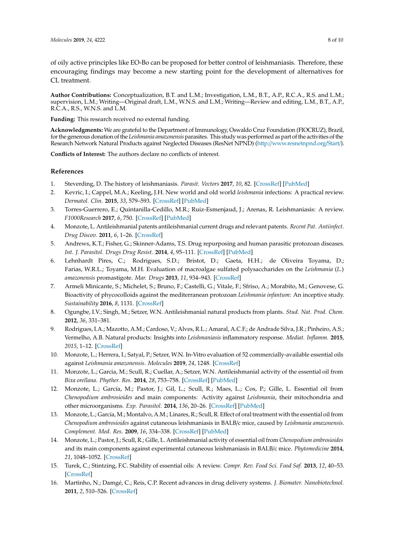of oily active principles like EO-Bo can be proposed for better control of leishmaniasis. Therefore, these encouraging findings may become a new starting point for the development of alternatives for CL treatment.

**Author Contributions:** Conceptualization, B.T. and L.M.; Investigation, L.M., B.T., A.P., R.C.A., R.S. and L.M.; supervision, L.M.; Writing—Original draft, L.M., W.N.S. and L.M.; Writing—Review and editing, L.M., B.T., A.P., R.C.A., R.S., W.N.S. and L.M.

**Funding:** This research received no external funding.

**Acknowledgments:** We are grateful to the Department of Immunology, Oswaldo Cruz Foundation (FIOCRUZ), Brazil, for the generous donation of the *Leishmania amazonensis* parasites. This study was performed as part of the activities of the Research Network Natural Products against Neglected Diseases (ResNet NPND) (http://[www.resnetnpnd.org](http://www.resnetnpnd.org/Start/)/Start/).

**Conflicts of Interest:** The authors declare no conflicts of interest.

## **References**

- <span id="page-7-0"></span>1. Steverding, D. The history of leishmaniasis. *Parasit. Vectors* **2017**, *10*, 82. [\[CrossRef\]](http://dx.doi.org/10.1186/s13071-017-2028-5) [\[PubMed\]](http://www.ncbi.nlm.nih.gov/pubmed/28202044)
- <span id="page-7-1"></span>2. Kevric, I.; Cappel, M.A.; Keeling, J.H. New world and old world *leishmania* infections: A practical review. *Dermatol. Clin.* **2015**, *33*, 579–593. [\[CrossRef\]](http://dx.doi.org/10.1016/j.det.2015.03.018) [\[PubMed\]](http://www.ncbi.nlm.nih.gov/pubmed/26143433)
- <span id="page-7-2"></span>3. Torres-Guerrero, E.; Quintanilla-Cedillo, M.R.; Ruiz-Esmenjaud, J.; Arenas, R. Leishmaniasis: A review. *F1000Research* **2017**, *6*, 750. [\[CrossRef\]](http://dx.doi.org/10.12688/f1000research.11120.1) [\[PubMed\]](http://www.ncbi.nlm.nih.gov/pubmed/28649370)
- <span id="page-7-3"></span>4. Monzote, L. Antileishmanial patents antileishmanial current drugs and relevant patents. *Recent Pat. Antiinfect. Drug Discov.* **2011**, *6*, 1–26. [\[CrossRef\]](http://dx.doi.org/10.2174/157489111794407868)
- <span id="page-7-4"></span>5. Andrews, K.T.; Fisher, G.; Skinner-Adams, T.S. Drug repurposing and human parasitic protozoan diseases. *Int. J. Parasitol. Drugs Drug Resist.* **2014**, *4*, 95–111. [\[CrossRef\]](http://dx.doi.org/10.1016/j.ijpddr.2014.02.002) [\[PubMed\]](http://www.ncbi.nlm.nih.gov/pubmed/25057459)
- <span id="page-7-5"></span>6. Lehnhardt Pires, C.; Rodrigues, S.D.; Bristot, D.; Gaeta, H.H.; de Oliveira Toyama, D.; Farias, W.R.L.; Toyama, M.H. Evaluation of macroalgae sulfated polysaccharides on the *Leishmania* (*L.*) *amazonensis* promastigote. *Mar. Drugs* **2013**, *11*, 934–943. [\[CrossRef\]](http://dx.doi.org/10.3390/md11030934)
- <span id="page-7-6"></span>7. Armeli Minicante, S.; Michelet, S.; Bruno, F.; Castelli, G.; Vitale, F.; Sfriso, A.; Morabito, M.; Genovese, G. Bioactivity of phycocolloids against the mediterranean protozoan *Leishmania infantum*: An inceptive study. *Sustainability* **2016**, *8*, 1131. [\[CrossRef\]](http://dx.doi.org/10.3390/su8111131)
- <span id="page-7-7"></span>8. Ogungbe, I.V.; Singh, M.; Setzer, W.N. Antileishmanial natural products from plants. *Stud. Nat. Prod. Chem.* **2012**, *36*, 331–381.
- <span id="page-7-8"></span>9. Rodrigues, I.A.; Mazotto, A.M.; Cardoso, V.; Alves, R.L.; Amaral, A.C.F.; de Andrade Silva, J.R.; Pinheiro, A.S.; Vermelho, A.B. Natural products: Insights into *Leishmaniasis* inflammatory response. *Mediat. Inflamm.* **2015**, *2015*, 1–12. [\[CrossRef\]](http://dx.doi.org/10.1155/2015/835910)
- <span id="page-7-9"></span>10. Monzote, L.; Herrera, I.; Satyal, P.; Setzer, W.N. In-Vitro evaluation of 52 commercially-available essential oils against *Leishmania amazonensis*. *Molecules* **2019**, *24*, 1248. [\[CrossRef\]](http://dx.doi.org/10.3390/molecules24071248)
- <span id="page-7-10"></span>11. Monzote, L.; Garcia, M.; Scull, R.; Cuellar, A.; Setzer, W.N. Antileishmanial activity of the essential oil from *Bixa orellana*. *Phyther. Res.* **2014**, *28*, 753–758. [\[CrossRef\]](http://dx.doi.org/10.1002/ptr.5055) [\[PubMed\]](http://www.ncbi.nlm.nih.gov/pubmed/23983115)
- <span id="page-7-11"></span>12. Monzote, L.; García, M.; Pastor, J.; Gil, L.; Scull, R.; Maes, L.; Cos, P.; Gille, L. Essential oil from *Chenopodium ambrosioides* and main components: Activity against *Leishmania*, their mitochondria and other microorganisms. *Exp. Parasitol.* **2014**, *136*, 20–26. [\[CrossRef\]](http://dx.doi.org/10.1016/j.exppara.2013.10.007) [\[PubMed\]](http://www.ncbi.nlm.nih.gov/pubmed/24184772)
- <span id="page-7-12"></span>13. Monzote, L.; García, M.; Montalvo, A.M.; Linares, R.; Scull, R. Effect of oral treatment with the essential oil from *Chenopodium ambrosioides* against cutaneous leishmaniasis in BALB/c mice, caused by *Leishmania amazonensis*. *Complement. Med. Res.* **2009**, *16*, 334–338. [\[CrossRef\]](http://dx.doi.org/10.1159/000237741) [\[PubMed\]](http://www.ncbi.nlm.nih.gov/pubmed/19887812)
- <span id="page-7-13"></span>14. Monzote, L.; Pastor, J.; Scull, R.; Gille, L. Antileishmanial activity of essential oil from *Chenopodium ambrosioides* and its main components against experimental cutaneous leishmaniasis in BALB/c mice. *Phytomedicine* **2014**, *21*, 1048–1052. [\[CrossRef\]](http://dx.doi.org/10.1016/j.phymed.2014.03.002)
- <span id="page-7-14"></span>15. Turek, C.; Stintzing, F.C. Stability of essential oils: A review. *Compr. Rev. Food Sci. Food Saf.* **2013**, *12*, 40–53. [\[CrossRef\]](http://dx.doi.org/10.1111/1541-4337.12006)
- <span id="page-7-15"></span>16. Martinho, N.; Damgé, C.; Reis, C.P. Recent advances in drug delivery systems. *J. Biomater. Nanobiotechnol.* **2011**, *2*, 510–526. [\[CrossRef\]](http://dx.doi.org/10.4236/jbnb.2011.225062)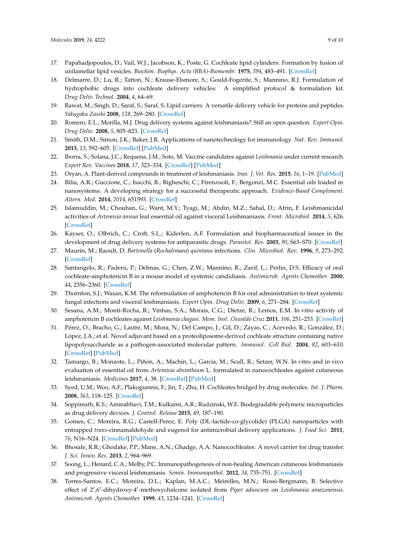- <span id="page-8-0"></span>17. Papahadjopoulos, D.; Vail, W.J.; Jacobson, K.; Poste, G. Cochleate lipid cylinders: Formation by fusion of unilamellar lipid vesicles. *Biochim. Biophys. Acta (BBA)-Biomembr.* **1975**, *394*, 483–491. [\[CrossRef\]](http://dx.doi.org/10.1016/0005-2736(75)90299-0)
- <span id="page-8-1"></span>18. Delmarre, D.; Lu, R.; Tatton, N.; Krause-Elsmore, S.; Gould-Fogerite, S.; Mannino, R.J. Formulation of hydrophobic drugs into cochleate delivery vehicles: A simplified protocol & formulation kit. *Drug Deliv. Technol.* **2004**, *4*, 64–69.
- <span id="page-8-2"></span>19. Rawat, M.; Singh, D.; Saraf, S.; Saraf, S. Lipid carriers: A versatile delivery vehicle for proteins and peptides. *Yakugaku Zasshi* **2008**, *128*, 269–280. [\[CrossRef\]](http://dx.doi.org/10.1248/yakushi.128.269)
- <span id="page-8-3"></span>20. Romero, E.L.; Morilla, M.J. Drug delivery systems against leishmaniasis? Still an open question. *Expert Opin. Drug Deliv.* **2008**, *5*, 805–823. [\[CrossRef\]](http://dx.doi.org/10.1517/17425247.5.7.805)
- <span id="page-8-4"></span>21. Smith, D.M.; Simon, J.K.; Baker, J.R. Applications of nanotechnology for immunology. *Nat. Rev. Immunol.* **2013**, *13*, 592–605. [\[CrossRef\]](http://dx.doi.org/10.1038/nri3488) [\[PubMed\]](http://www.ncbi.nlm.nih.gov/pubmed/23883969)
- <span id="page-8-5"></span>22. Iborra, S.; Solana, J.C.; Requena, J.M.; Soto, M. Vaccine candidates against *Leishmania* under current research. *Expert Rev. Vaccines* **2018**, *17*, 323–334. [\[CrossRef\]](http://dx.doi.org/10.1080/14760584.2018.1459191) [\[PubMed\]](http://www.ncbi.nlm.nih.gov/pubmed/29589966)
- <span id="page-8-6"></span>23. Oryan, A. Plant-derived compounds in treatment of leishmaniasis. *Iran. J. Vet. Res.* **2015**, *16*, 1–19. [\[PubMed\]](http://www.ncbi.nlm.nih.gov/pubmed/27175144)
- <span id="page-8-7"></span>24. Bilia, A.R.; Guccione, C.; Isacchi, B.; Righeschi, C.; Firenzuoli, F.; Bergonzi, M.C. Essential oils loaded in nanosystems: A developing strategy for a successful therapeutic approach. *Evidence-Based Complement. Altern. Med.* **2014**, *2014*, 651593. [\[CrossRef\]](http://dx.doi.org/10.1155/2014/651593)
- <span id="page-8-8"></span>25. Islamuddin, M.; Chouhan, G.; Want, M.Y.; Tyagi, M.; Abdin, M.Z.; Sahal, D.; Afrin, F. Leishmanicidal activities of *Artemisia annua* leaf essential oil against visceral Leishmaniasis. *Front. Microbiol.* **2014**, *5*, 626. [\[CrossRef\]](http://dx.doi.org/10.3389/fmicb.2014.00626)
- <span id="page-8-9"></span>26. Kayser, O.; Olbrich, C.; Croft, S.L.; Kiderlen, A.F. Formulation and biopharmaceutical issues in the development of drug delivery systems for antiparasitic drugs. *Parasitol. Res.* **2003**, *90*, S63–S70. [\[CrossRef\]](http://dx.doi.org/10.1007/s00436-002-0769-2)
- <span id="page-8-10"></span>27. Maurin, M.; Raoult, D. *Bartonella* (*Rochalimaea*) *quintana* infections. *Clin. Microbiol. Rev.* **1996**, *9*, 273–292. [\[CrossRef\]](http://dx.doi.org/10.1128/CMR.9.3.273)
- <span id="page-8-11"></span>28. Santangelo, R.; Paderu, P.; Delmas, G.; Chen, Z.W.; Mannino, R.; Zarif, L.; Perlin, D.S. Efficacy of oral cochleate-amphotericin B in a mouse model of systemic candidiasis. *Antimicrob. Agents Chemother.* **2000**, *44*, 2356–2360. [\[CrossRef\]](http://dx.doi.org/10.1128/AAC.44.9.2356-2360.2000)
- <span id="page-8-12"></span>29. Thornton, S.J.; Wasan, K.M. The reformulation of amphotericin B for oral administration to treat systemic fungal infections and visceral leishmaniasis. *Expert Opin. Drug Deliv.* **2009**, *6*, 271–284. [\[CrossRef\]](http://dx.doi.org/10.1517/17425240902802861)
- <span id="page-8-13"></span>30. Sesana, A.M.; Monti-Rocha, R.; Vinhas, S.A.; Morais, C.G.; Dietze, R.; Lemos, E.M. In vitro activity of amphotericin B cochleates against *Leishmania chagasi*. *Mem. Inst. Oswaldo Cruz* **2011**, *106*, 251–253. [\[CrossRef\]](http://dx.doi.org/10.1590/S0074-02762011000200022)
- <span id="page-8-14"></span>31. Pérez, O.; Bracho, G.; Lastre, M.; Mora, N.; Del Campo, J.; Gil, D.; Zayas, C.; Acevedo, R.; González, D.; López, J.A.; et al. Novel adjuvant based on a proteoliposome-derived cochleate structure containing native lipopolysaccharide as a pathogen-associated molecular pattern. *Immunol. Cell Biol.* **2004**, *82*, 603–610. [\[CrossRef\]](http://dx.doi.org/10.1111/j.1440-1711.2004.01293.x) [\[PubMed\]](http://www.ncbi.nlm.nih.gov/pubmed/15550118)
- <span id="page-8-15"></span>32. Tamargo, B.; Monzote, L.; Piñón, A.; Machín, L.; García, M.; Scull, R.; Setzer, W.N. In vitro and in vivo evaluation of essential oil from *Artemisia absinthium* L. formulated in nanocochleates against cutaneous leishmaniasis. *Medicines* **2017**, *4*, 38. [\[CrossRef\]](http://dx.doi.org/10.3390/medicines4020038) [\[PubMed\]](http://www.ncbi.nlm.nih.gov/pubmed/28930253)
- <span id="page-8-16"></span>33. Syed, U.M.; Woo, A.F.; Plakogiannis, F.; Jin, T.; Zhu, H. Cochleates bridged by drug molecules. *Int. J. Pharm.* **2008**, *363*, 118–125. [\[CrossRef\]](http://dx.doi.org/10.1016/j.ijpharm.2008.06.026)
- <span id="page-8-17"></span>34. Soppimath, K.S.; Aminabhavi, T.M.; Kulkarni, A.R.; Rudzinski, W.E. Biodegradable polymeric microparticles as drug delivery devices. *J. Control. Release* **2015**, *49*, 187–190.
- <span id="page-8-18"></span>35. Gomes, C.; Moreira, R.G.; Castell-Perez, E. Poly (DL-lactide-co-glycolide) (PLGA) nanoparticles with entrapped *trans*-cinnamaldehyde and eugenol for antimicrobial delivery applications. *J. Food Sci.* **2011**, *76*, N16–N24. [\[CrossRef\]](http://dx.doi.org/10.1111/j.1750-3841.2010.01985.x) [\[PubMed\]](http://www.ncbi.nlm.nih.gov/pubmed/21535781)
- <span id="page-8-19"></span>36. Bhosale, R.R.; Ghodake, P.P.; Mane, A.N.; Ghadge, A.A. Nanocochleates: A novel carrier for drug transfer. *J. Sci. Innov. Res.* **2013**, *2*, 964–969.
- <span id="page-8-20"></span>37. Soong, L.; Henard, C.A.; Melby, P.C. Immunopathogenesis of non-healing American cutaneous leishmaniasis and progressive visceral leishmaniasis. *Semin. Immunopathol.* **2012**, *34*, 735–751. [\[CrossRef\]](http://dx.doi.org/10.1007/s00281-012-0350-8)
- <span id="page-8-21"></span>38. Torres-Santos, E.C.; Moreira, D.L.; Kaplan, M.A.C.; Meirelles, M.N.; Rossi-Bergmann, B. Selective effect of 2',6'-dihydroxy-4'-methoxychalcone isolated from Piper aduncum on Leishmania amazonensis. *Antimicrob. Agents Chemother.* **1999**, *43*, 1234–1241. [\[CrossRef\]](http://dx.doi.org/10.1128/AAC.43.5.1234)